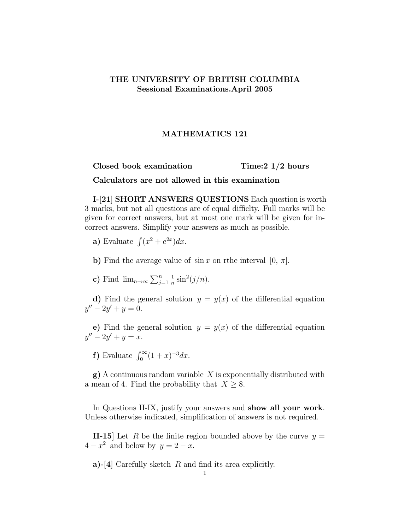## THE UNIVERSITY OF BRITISH COLUMBIA Sessional Examinations.April 2005

## MATHEMATICS 121

Closed book examination Time:2 1/2 hours

Calculators are not allowed in this examination

I-[21] SHORT ANSWERS QUESTIONS Each question is worth 3 marks, but not all questions are of equal difficlty. Full marks will be given for correct answers, but at most one mark will be given for incorrect answers. Simplify your answers as much as possible.

- a) Evaluate  $\int (x^2 + e^{2x}) dx$ .
- b) Find the average value of  $\sin x$  on rthe interval  $[0, \pi]$ .
- c) Find  $\lim_{n\to\infty}\sum_{j=1}^n$  $\frac{1}{n}\sin^2(j/n)$ .

d) Find the general solution  $y = y(x)$  of the differential equation  $y'' - 2y' + y = 0.$ 

e) Find the general solution  $y = y(x)$  of the differential equation  $y'' - 2y' + y = x.$ 

f) Evaluate  $\int_0^\infty (1+x)^{-3} dx$ .

 $g$ ) A continuous random variable X is exponentially distributed with a mean of 4. Find the probability that  $X \geq 8$ .

In Questions II-IX, justify your answers and **show all your work**. Unless otherwise indicated, simplification of answers is not required.

**II-15** Let R be the finite region bounded above by the curve  $y =$  $4-x^2$  and below by  $y=2-x$ .

a)-[4] Carefully sketch  $R$  and find its area explicitly.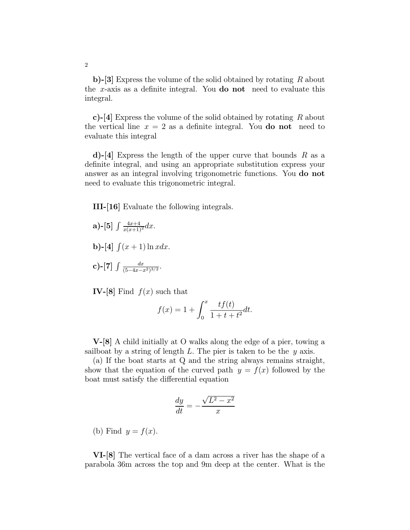b)-[3] Express the volume of the solid obtained by rotating R about the x-axis as a definite integral. You **do not** need to evaluate this integral.

c)-[4] Express the volume of the solid obtained by rotating R about the vertical line  $x = 2$  as a definite integral. You **do not** need to evaluate this integral

d)-[4] Express the length of the upper curve that bounds  $R$  as a definite integral, and using an appropriate substitution express your answer as an integral involving trigonometric functions. You do not need to evaluate this trigonometric integral.

III-[16] Evaluate the following integrals.

**a)**-[5] 
$$
\int \frac{4x+4}{x(x+1)^2} dx
$$
.  
\n**b)**-[4]  $\int (x+1) \ln x dx$ .  
\n**c)**-[7]  $\int \frac{dx}{(5-4x-x^2)^{3/2}}$ .

IV-[8] Find  $f(x)$  such that

$$
f(x) = 1 + \int_0^x \frac{tf(t)}{1 + t + t^2} dt.
$$

V-[8] A child initially at O walks along the edge of a pier, towing a sailboat by a string of length  $L$ . The pier is taken to be the  $y$  axis.

(a) If the boat starts at Q and the string always remains straight, show that the equation of the curved path  $y = f(x)$  followed by the boat must satisfy the differential equation

$$
\frac{dy}{dt} = -\frac{\sqrt{L^2 - x^2}}{x}
$$

(b) Find  $y = f(x)$ .

VI-[8] The vertical face of a dam across a river has the shape of a parabola 36m across the top and 9m deep at the center. What is the